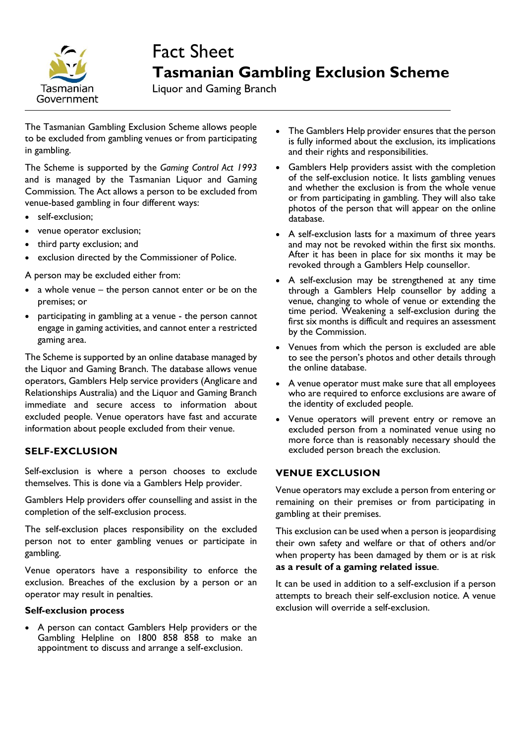

# Fact Sheet **Tasmanian Gambling Exclusion Scheme**

Liquor and Gaming Branch

The Tasmanian Gambling Exclusion Scheme allows people to be excluded from gambling venues or from participating in gambling.

The Scheme is supported by the *Gaming Control Act 1993*  and is managed by the Tasmanian Liquor and Gaming Commission*.* The Act allows a person to be excluded from venue-based gambling in four different ways:

- self-exclusion;
- venue operator exclusion;
- third party exclusion; and
- exclusion directed by the Commissioner of Police.

A person may be excluded either from:

- a whole venue the person cannot enter or be on the premises; or
- participating in gambling at a venue the person cannot engage in gaming activities, and cannot enter a restricted gaming area.

The Scheme is supported by an online database managed by the Liquor and Gaming Branch. The database allows venue operators, Gamblers Help service providers (Anglicare and Relationships Australia) and the Liquor and Gaming Branch immediate and secure access to information about excluded people. Venue operators have fast and accurate information about people excluded from their venue.

## **SELF-EXCLUSION**

Self-exclusion is where a person chooses to exclude themselves. This is done via a Gamblers Help provider.

Gamblers Help providers offer counselling and assist in the completion of the self-exclusion process.

The self-exclusion places responsibility on the excluded person not to enter gambling venues or participate in gambling.

Venue operators have a responsibility to enforce the exclusion. Breaches of the exclusion by a person or an operator may result in penalties.

#### **Self-exclusion process**

 A person can contact Gamblers Help providers or the Gambling Helpline on 1800 858 858 to make an appointment to discuss and arrange a self-exclusion.

- The Gamblers Help provider ensures that the person is fully informed about the exclusion, its implications and their rights and responsibilities.
- Gamblers Help providers assist with the completion of the self-exclusion notice. It lists gambling venues and whether the exclusion is from the whole venue or from participating in gambling. They will also take photos of the person that will appear on the online database.
- A self-exclusion lasts for a maximum of three years and may not be revoked within the first six months. After it has been in place for six months it may be revoked through a Gamblers Help counsellor.
- A self-exclusion may be strengthened at any time through a Gamblers Help counsellor by adding a venue, changing to whole of venue or extending the time period. Weakening a self-exclusion during the first six months is difficult and requires an assessment by the Commission.
- Venues from which the person is excluded are able to see the person's photos and other details through the online database.
- A venue operator must make sure that all employees who are required to enforce exclusions are aware of the identity of excluded people.
- Venue operators will prevent entry or remove an excluded person from a nominated venue using no more force than is reasonably necessary should the excluded person breach the exclusion.

## **VENUE EXCLUSION**

Venue operators may exclude a person from entering or remaining on their premises or from participating in gambling at their premises.

This exclusion can be used when a person is jeopardising their own safety and welfare or that of others and/or when property has been damaged by them or is at risk **as a result of a gaming related issue**.

It can be used in addition to a self-exclusion if a person attempts to breach their self-exclusion notice. A venue exclusion will override a self-exclusion.